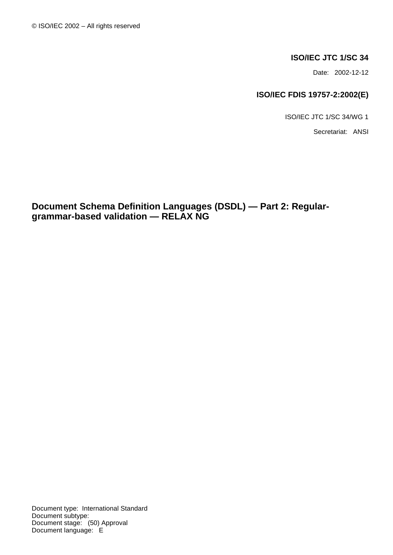## **ISO/IEC JTC 1/SC 34**

Date: 2002-12-12

## **ISO/IEC FDIS 19757-2:2002(E)**

ISO/IEC JTC 1/SC 34/WG 1

Secretariat: ANSI

**Document Schema Definition Languages (DSDL) — Part 2: Regulargrammar-based validation — RELAX NG**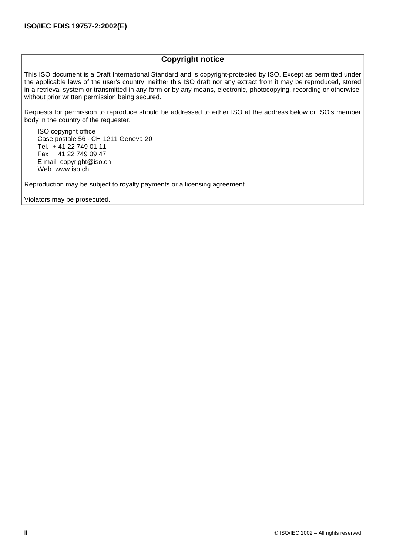## **Copyright notice**

This ISO document is a Draft International Standard and is copyright-protected by ISO. Except as permitted under the applicable laws of the user's country, neither this ISO draft nor any extract from it may be reproduced, stored in a retrieval system or transmitted in any form or by any means, electronic, photocopying, recording or otherwise, without prior written permission being secured.

Requests for permission to reproduce should be addressed to either ISO at the address below or ISO's member body in the country of the requester.

ISO copyright office Case postale 56 · CH-1211 Geneva 20 Tel. + 41 22 749 01 11 Fax + 41 22 749 09 47 E-mail copyright@iso.ch Web www.iso.ch

Reproduction may be subject to royalty payments or a licensing agreement.

Violators may be prosecuted.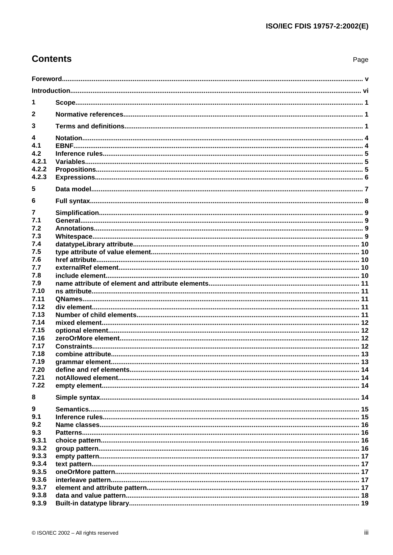# **Contents**

| 1            |  |  |  |  |
|--------------|--|--|--|--|
| $\mathbf{2}$ |  |  |  |  |
| 3            |  |  |  |  |
| 4            |  |  |  |  |
| 4.1          |  |  |  |  |
| 4.2          |  |  |  |  |
| 4.2.1        |  |  |  |  |
| 4.2.2        |  |  |  |  |
| 4.2.3        |  |  |  |  |
| 5            |  |  |  |  |
| 6            |  |  |  |  |
| 7            |  |  |  |  |
| 7.1          |  |  |  |  |
| 7.2          |  |  |  |  |
| 7.3          |  |  |  |  |
| 7.4          |  |  |  |  |
| 7.5          |  |  |  |  |
| 7.6          |  |  |  |  |
| 7.7          |  |  |  |  |
| 7.8          |  |  |  |  |
| 7.9          |  |  |  |  |
| 7.10         |  |  |  |  |
| 7.11         |  |  |  |  |
| 7.12         |  |  |  |  |
| 7.13         |  |  |  |  |
| 7.14         |  |  |  |  |
| 7.15         |  |  |  |  |
| 7.16         |  |  |  |  |
| 7.17         |  |  |  |  |
| 7.18         |  |  |  |  |
| 7.19         |  |  |  |  |
| 7.20         |  |  |  |  |
| 7.21         |  |  |  |  |
| 7.22         |  |  |  |  |
| 8            |  |  |  |  |
| 9            |  |  |  |  |
| 9.1          |  |  |  |  |
| 9.2          |  |  |  |  |
| 9.3          |  |  |  |  |
| 9.3.1        |  |  |  |  |
| 9.3.2        |  |  |  |  |
| 9.3.3        |  |  |  |  |
| 9.3.4        |  |  |  |  |
| 9.3.5        |  |  |  |  |
| 9.3.6        |  |  |  |  |
| 9.3.7        |  |  |  |  |
| 9.3.8        |  |  |  |  |
| 9.3.9        |  |  |  |  |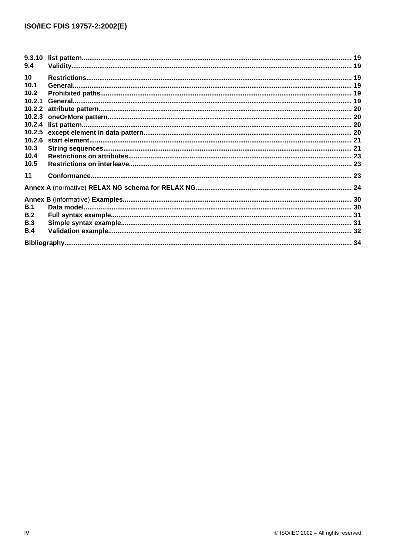| 9.3.10 |  |
|--------|--|
| 9.4    |  |
| 10     |  |
| 10.1   |  |
| 10.2   |  |
| 10.2.1 |  |
|        |  |
|        |  |
|        |  |
|        |  |
|        |  |
| 10.3   |  |
| 10.4   |  |
| 10.5   |  |
| 11     |  |
|        |  |
|        |  |
| B.1    |  |
| B.2    |  |
| B.3    |  |
| B.4    |  |
|        |  |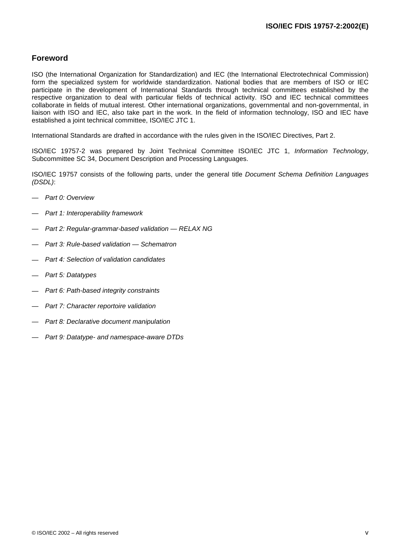## <span id="page-4-0"></span>**Foreword**

ISO (the International Organization for Standardization) and IEC (the International Electrotechnical Commission) form the specialized system for worldwide standardization. National bodies that are members of ISO or IEC participate in the development of International Standards through technical committees established by the respective organization to deal with particular fields of technical activity. ISO and IEC technical committees collaborate in fields of mutual interest. Other international organizations, governmental and non-governmental, in liaison with ISO and IEC, also take part in the work. In the field of information technology, ISO and IEC have established a joint technical committee, ISO/IEC JTC 1.

International Standards are drafted in accordance with the rules given in the ISO/IEC Directives, Part 2.

ISO/IEC 19757-2 was prepared by Joint Technical Committee ISO/IEC JTC 1, *Information Technology*, Subcommittee SC 34, Document Description and Processing Languages.

ISO/IEC 19757 consists of the following parts, under the general title *Document Schema Definition Languages (DSDL)*:

- *Part 0: Overview*
- *Part 1: Interoperability framework*
- *Part 2: Regular-grammar-based validation — RELAX NG*
- *Part 3: Rule-based validation — Schematron*
- *Part 4: Selection of validation candidates*
- *Part 5: Datatypes*
- *Part 6: Path-based integrity constraints*
- *Part 7: Character reportoire validation*
- *Part 8: Declarative document manipulation*
- *Part 9: Datatype- and namespace-aware DTDs*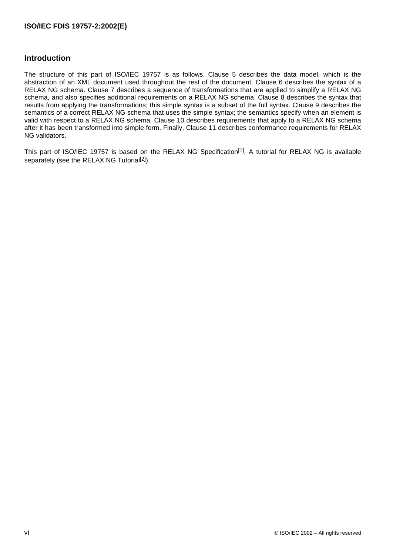## <span id="page-5-0"></span>**Introduction**

The structure of this part of ISO/IEC 19757 is as follows. [Clause](#page-12-0) 5 describes the data model, which is the abstraction of an XML document used throughout the rest of the document. [Clause](#page-13-0) 6 describes the syntax of a RELAX NG schema. [Clause](#page-14-0) 7 describes a sequence of transformations that are applied to simplify a RELAX NG schema, and also specifies additional requirements on a RELAX NG schema. [Clause](#page-19-0) 8 describes the syntax that results from applying the transformations; this simple syntax is a subset of the full syntax. [Clause](#page-20-0) 9 describes the semantics of a correct RELAX NG schema that uses the simple syntax; the semantics specify when an element is valid with respect to a RELAX NG schema. [Clause](#page-24-0) 10 describes requirements that apply to a RELAX NG schema after it has been transformed into simple form. Finally, [Clause](#page-28-0) 11 describes conformance requirements for RELAX NG validators.

This part of ISO/IEC 19757 is based on the RELAX NG [Specification](#page-39-0)<sup>[1]</sup>. A tutorial for RELAX NG is available separately (see the RELAX NG [Tutorial](#page-39-0)<sup>[2]</sup>).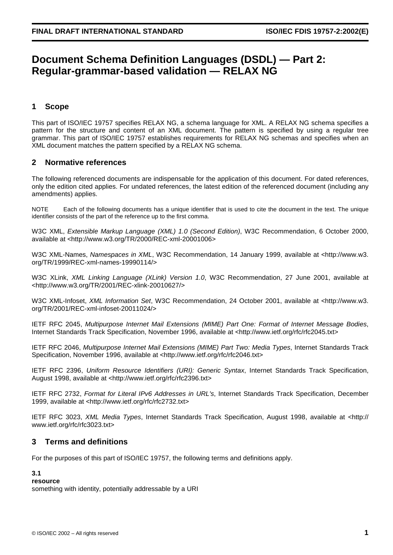# <span id="page-6-0"></span>**Document Schema Definition Languages (DSDL) — Part 2: Regular-grammar-based validation — RELAX NG**

## **1 Scope**

This part of ISO/IEC 19757 specifies RELAX NG, a schema language for XML. A RELAX NG schema specifies a pattern for the structure and content of an XML document. The pattern is specified by using a regular tree grammar. This part of ISO/IEC 19757 establishes requirements for RELAX NG schemas and specifies when an XML document matches the pattern specified by a RELAX NG schema.

## **2 Normative references**

The following referenced documents are indispensable for the application of this document. For dated references, only the edition cited applies. For undated references, the latest edition of the referenced document (including any amendments) applies.

NOTE Each of the following documents has a unique identifier that is used to cite the document in the text. The unique identifier consists of the part of the reference up to the first comma.

W3C XML, *Extensible Markup Language (XML) 1.0 (Second Edition)*, W3C Recommendation, 6 October 2000, available at <<http://www.w3.org/TR/2000/REC-xml-20001006>>

W3C XML-Names, *Namespaces in XML*, W3C Recommendation, 14 January 1999, available at [<http://www.w3.](http://www.w3.org/TR/1999/REC-xml-names-19990114/) [org/TR/1999/REC-xml-names-19990114/>](http://www.w3.org/TR/1999/REC-xml-names-19990114/)

W3C XLink, *XML Linking Language (XLink) Version 1.0*, W3C Recommendation, 27 June 2001, available at [<http://www.w3.org/TR/2001/REC-xlink-20010627/](http://www.w3.org/TR/2001/REC-xlink-20010627/)>

W3C XML-Infoset, *XML Information Set*, W3C Recommendation, 24 October 2001, available at [<http://www.w3.](http://www.w3.org/TR/2001/REC-xml-infoset-20011024/) [org/TR/2001/REC-xml-infoset-20011024/](http://www.w3.org/TR/2001/REC-xml-infoset-20011024/)>

IETF RFC 2045, *Multipurpose Internet Mail Extensions (MIME) Part One: Format of Internet Message Bodies*, Internet Standards Track Specification, November 1996, available at [<http://www.ietf.org/rfc/rfc2045.txt>](http://www.ietf.org/rfc/rfc2045.txt)

IETF RFC 2046, *Multipurpose Internet Mail Extensions (MIME) Part Two: Media Types*, Internet Standards Track Specification, November 1996, available at [<http://www.ietf.org/rfc/rfc2046.txt>](http://www.ietf.org/rfc/rfc2046.txt)

IETF RFC 2396, *Uniform Resource Identifiers (URI): Generic Syntax*, Internet Standards Track Specification, August 1998, available at [<http://www.ietf.org/rfc/rfc2396.txt>](http://www.ietf.org/rfc/rfc2396.txt)

IETF RFC 2732, *Format for Literal IPv6 Addresses in URL's*, Internet Standards Track Specification, December 1999, available at [<http://www.ietf.org/rfc/rfc2732.txt>](http://www.ietf.org/rfc/rfc2732.txt)

IETF RFC 3023, *XML Media Types*, Internet Standards Track Specification, August 1998, available at [<http://](http://www.ietf.org/rfc/rfc3023.txt) [www.ietf.org/rfc/rfc3023.txt](http://www.ietf.org/rfc/rfc3023.txt)>

## **3 Terms and definitions**

For the purposes of this part of ISO/IEC 19757, the following terms and definitions apply.

## **3.1**

## **resource**

something with identity, potentially addressable by a URI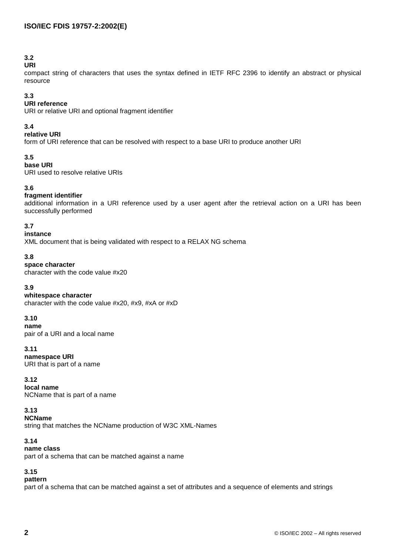## **3.2**

## **URI**

compact string of characters that uses the syntax defined in IETF RFC [2396](#page-6-0) to identify an abstract or physical resource

## **3.3**

## **URI reference**

URI or relative URI and optional fragment identifier

## **3.4**

## **relative URI**

form of URI reference that can be resolved with respect to a base URI to produce another URI

## **3.5**

## **base URI**

URI used to resolve relative URIs

## **3.6**

## **fragment identifier**

additional information in a URI reference used by a user agent after the retrieval action on a URI has been successfully performed

## **3.7**

## **instance**

XML document that is being validated with respect to a RELAX NG schema

## **3.8**

## **space character**

character with the code value #x20

## **3.9**

## **whitespace character**

character with the code value #x20, #x9, #xA or #xD

## **3.10**

**name** pair of a URI and a local name

## **3.11**

#### **namespace URI** URI that is part of a name

## **3.12**

**local name** NCName that is part of a name

## **3.13**

## **NCName**

string that matches the NCName production of W3C [XML-Names](#page-6-0)

## **3.14**

## **name class**

part of a schema that can be matched against a name

## **3.15**

## **pattern**

part of a schema that can be matched against a set of attributes and a sequence of elements and strings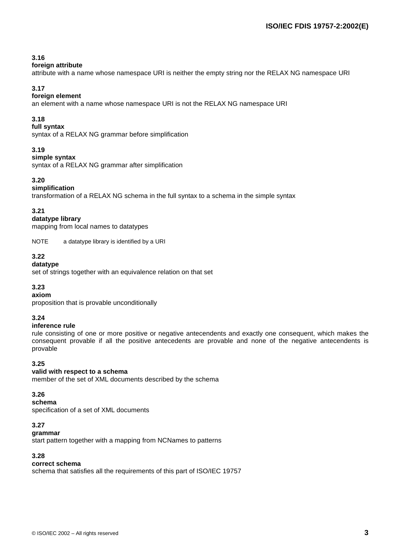## **3.16**

#### **foreign attribute**

attribute with a name whose namespace URI is neither the empty string nor the RELAX NG namespace URI

## **3.17**

## **foreign element**

an element with a name whose namespace URI is not the RELAX NG namespace URI

## **3.18**

## **full syntax**

syntax of a RELAX NG grammar before simplification

## **3.19**

#### **simple syntax**

syntax of a RELAX NG grammar after simplification

## **3.20**

## **simplification**

transformation of a RELAX NG schema in the full syntax to a schema in the simple syntax

## **3.21**

#### **datatype library**

mapping from local names to datatypes

NOTE a datatype library is identified by a URI

## **3.22**

#### **datatype**

set of strings together with an equivalence relation on that set

## **3.23**

## **axiom**

proposition that is provable unconditionally

## **3.24**

## **inference rule**

rule consisting of one or more positive or negative antecendents and exactly one consequent, which makes the consequent provable if all the positive antecedents are provable and none of the negative antecendents is provable

## **3.25**

## **valid with respect to a schema**

member of the set of XML documents described by the schema

## **3.26**

## **schema**

specification of a set of XML documents

## **3.27**

## **grammar**

start pattern together with a mapping from NCNames to patterns

## **3.28**

## **correct schema**

schema that satisfies all the requirements of this part of ISO/IEC 19757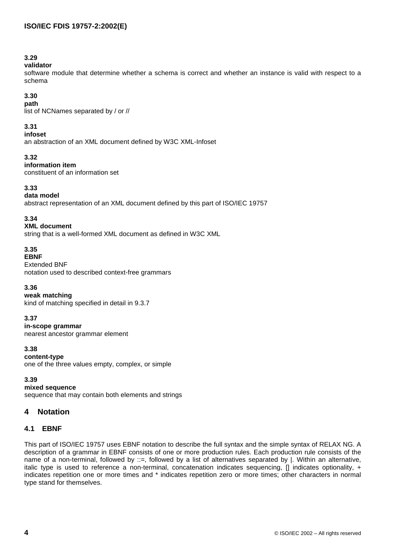## <span id="page-9-0"></span>**3.29**

## **validator**

software module that determine whether a schema is correct and whether an instance is valid with respect to a schema

## **3.30**

**path** list of NCNames separated by / or //

## **3.31**

**infoset**

an abstraction of an XML document defined by W3C [XML-Infoset](#page-6-0)

## **3.32**

**information item**

constituent of an information set

## **3.33**

## **data model**

abstract representation of an XML document defined by this part of ISO/IEC 19757

## **3.34**

## **XML document**

string that is a well-formed XML document as defined in [W3C](#page-6-0) XML

## **3.35**

## **EBNF**

Extended BNF notation used to described context-free grammars

## **3.36**

**weak matching**

kind of matching specified in detail in [9.3.7](#page-22-0)

## **3.37**

**in-scope grammar** nearest ancestor grammar element

## **3.38**

**content-type** one of the three values empty, complex, or simple

**3.39**

## **mixed sequence**

sequence that may contain both elements and strings

## **4 Notation**

## **4.1 EBNF**

This part of ISO/IEC 19757 uses EBNF notation to describe the full syntax and the simple syntax of RELAX NG. A description of a grammar in EBNF consists of one or more production rules. Each production rule consists of the name of a non-terminal, followed by ::=, followed by a list of alternatives separated by |. Within an alternative, italic type is used to reference a non-terminal, concatenation indicates sequencing, [] indicates optionality, + indicates repetition one or more times and \* indicates repetition zero or more times; other characters in normal type stand for themselves.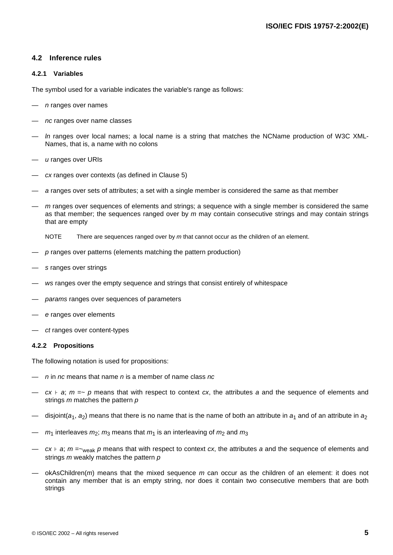### <span id="page-10-0"></span>**4.2 Inference rules**

#### **4.2.1 Variables**

The symbol used for a variable indicates the variable's range as follows:

- *n* ranges over names
- *nc* ranges over name classes
- In ranges over local names; a local name is a string that matches the NCName production of W3C [XML-](#page-6-0)[Names](#page-6-0), that is, a name with no colons
- *u* ranges over URIs
- *cx* ranges over contexts (as defined in [Clause](#page-12-0) 5)
- *a* ranges over sets of attributes; a set with a single member is considered the same as that member
- *m* ranges over sequences of elements and strings; a sequence with a single member is considered the same as that member; the sequences ranged over by *m* may contain consecutive strings and may contain strings that are empty

NOTE There are sequences ranged over by *m* that cannot occur as the children of an element.

- *p* ranges over patterns (elements matching the pattern production)
- *s* ranges over strings
- *ws* ranges over the empty sequence and strings that consist entirely of whitespace
- *params* ranges over sequences of parameters
- *e* ranges over elements
- *ct* ranges over content-types

#### **4.2.2 Propositions**

The following notation is used for propositions:

- *n* in *nc* means that name *n* is a member of name class *nc*
- *cx* ⊦ *a*; *m* =~ *p* means that with respect to context *cx*, the attributes *a* and the sequence of elements and strings *m* matches the pattern *p*
- disjoint( $a_1$ ,  $a_2$ ) means that there is no name that is the name of both an attribute in  $a_1$  and of an attribute in  $a_2$
- $m_1$  interleaves  $m_2$ ;  $m_3$  means that  $m_1$  is an interleaving of  $m_2$  and  $m_3$
- *cx* ⊦ *a*; *m* =~weak *p* means that with respect to context *cx*, the attributes *a* and the sequence of elements and strings *m* weakly matches the pattern *p*
- okAsChildren(*m*) means that the mixed sequence *m* can occur as the children of an element: it does not contain any member that is an empty string, nor does it contain two consecutive members that are both strings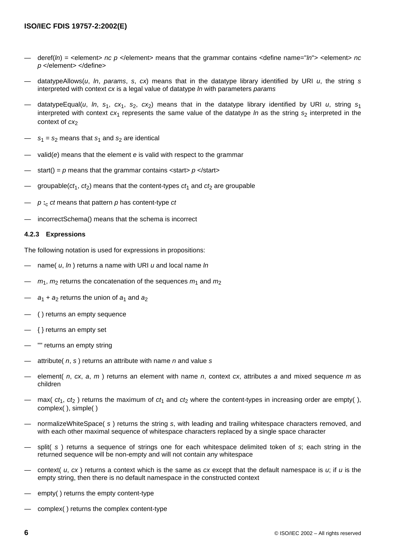- <span id="page-11-0"></span>— deref(*ln*) = <element> *nc p* </element> means that the grammar contains <define name="*ln*"> <element> *nc p* </element> </define>
- datatypeAllows(*u*, *ln*, *params*, *s*, *cx*) means that in the datatype library identified by URI *u*, the string *s* interpreted with context *cx* is a legal value of datatype *ln* with parameters *params*
- datatypeEqual(*u*, *ln*,  $s_1$ ,  $cx_1$ ,  $s_2$ ,  $cx_2$ ) means that in the datatype library identified by URI *u*, string  $s_1$ interpreted with context  $cx_1$  represents the same value of the datatype *ln* as the string  $s_2$  interpreted in the context of  $cx_2$
- $s_1 = s_2$  means that  $s_1$  and  $s_2$  are identical
- valid(*e*) means that the element *e* is valid with respect to the grammar
- start() =  $p$  means that the grammar contains < start>  $p$  </ start>
- groupable( $ct_1$ ,  $ct_2$ ) means that the content-types  $ct_1$  and  $ct_2$  are groupable
- *p* **:**<sup>c</sup> *ct* means that pattern *p* has content-type *ct*
- incorrectSchema() means that the schema is incorrect

#### **4.2.3 Expressions**

The following notation is used for expressions in propositions:

- name( *u*, *ln* ) returns a name with URI *u* and local name *ln*
- $m_1$ ,  $m_2$  returns the concatenation of the sequences  $m_1$  and  $m_2$
- $a_1 + a_2$  returns the union of  $a_1$  and  $a_2$
- ( ) returns an empty sequence
- { } returns an empty set
- "" returns an empty string
- attribute( *n*, *s* ) returns an attribute with name *n* and value *s*
- element( *n*, *cx*, *a*, *m* ) returns an element with name *n*, context *cx*, attributes *a* and mixed sequence *m* as children
- max(  $ct_1$ ,  $ct_2$ ) returns the maximum of  $ct_1$  and  $ct_2$  where the content-types in increasing order are empty(), complex( ), simple( )
- normalizeWhiteSpace( *s* ) returns the string *s*, with leading and trailing whitespace characters removed, and with each other maximal sequence of whitespace characters replaced by a single space character
- split( *s* ) returns a sequence of strings one for each whitespace delimited token of *s*; each string in the returned sequence will be non-empty and will not contain any whitespace
- context( *u*, *cx* ) returns a context which is the same as *cx* except that the default namespace is *u*; if *u* is the empty string, then there is no default namespace in the constructed context
- empty() returns the empty content-type
- complex( ) returns the complex content-type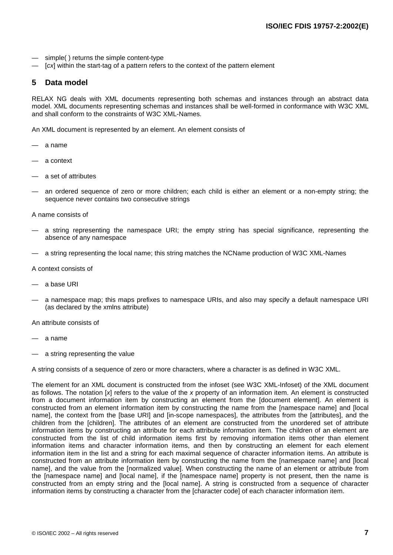- <span id="page-12-0"></span>simple() returns the simple content-type
- [cx] within the start-tag of a pattern refers to the context of the pattern element

## **5 Data model**

RELAX NG deals with XML documents representing both schemas and instances through an abstract data model. XML documents representing schemas and instances shall be well-formed in conformance with [W3C](#page-6-0) XML and shall conform to the constraints of W3C [XML-Names.](#page-6-0)

An XML document is represented by an element. An element consists of

- a name
- a context
- a set of attributes
- an ordered sequence of zero or more children; each child is either an element or a non-empty string; the sequence never contains two consecutive strings

A name consists of

- a string representing the namespace URI; the empty string has special significance, representing the absence of any namespace
- a string representing the local name; this string matches the NCName production of W3C [XML-Names](#page-6-0)

A context consists of

- a base URI
- a namespace map; this maps prefixes to namespace URIs, and also may specify a default namespace URI (as declared by the xmlns attribute)

An attribute consists of

- a name
- a string representing the value

A string consists of a sequence of zero or more characters, where a character is as defined in [W3C](#page-6-0) XML.

The element for an XML document is constructed from the infoset (see W3C [XML-Infoset\)](#page-6-0) of the XML document as follows. The notation [*x*] refers to the value of the *x* property of an information item. An element is constructed from a document information item by constructing an element from the [document element]. An element is constructed from an element information item by constructing the name from the [namespace name] and [local name], the context from the [base URI] and [in-scope namespaces], the attributes from the [attributes], and the children from the [children]. The attributes of an element are constructed from the unordered set of attribute information items by constructing an attribute for each attribute information item. The children of an element are constructed from the list of child information items first by removing information items other than element information items and character information items, and then by constructing an element for each element information item in the list and a string for each maximal sequence of character information items. An attribute is constructed from an attribute information item by constructing the name from the [namespace name] and [local name], and the value from the [normalized value]. When constructing the name of an element or attribute from the [namespace name] and [local name], if the [namespace name] property is not present, then the name is constructed from an empty string and the [local name]. A string is constructed from a sequence of character information items by constructing a character from the [character code] of each character information item.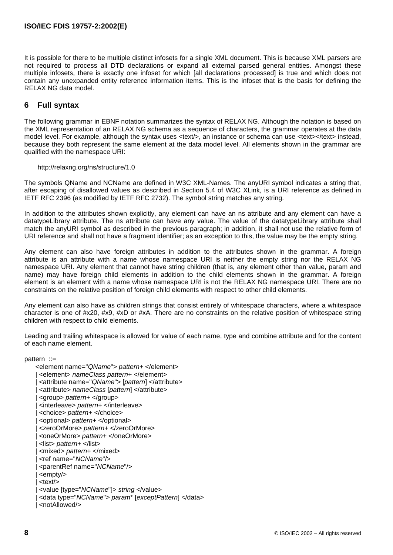<span id="page-13-0"></span>It is possible for there to be multiple distinct infosets for a single XML document. This is because XML parsers are not required to process all DTD declarations or expand all external parsed general entities. Amongst these multiple infosets, there is exactly one infoset for which [all declarations processed] is true and which does not contain any unexpanded entity reference information items. This is the infoset that is the basis for defining the RELAX NG data model.

## **6 Full syntax**

The following grammar in EBNF notation summarizes the syntax of RELAX NG. Although the notation is based on the XML representation of an RELAX NG schema as a sequence of characters, the grammar operates at the data model level. For example, although the syntax uses <text/>, an instance or schema can use <text></text> instead, because they both represent the same element at the data model level. All elements shown in the grammar are qualified with the namespace URI:

## http://relaxng.org/ns/structure/1.0

The symbols QName and NCName are defined in W3C [XML-Names.](#page-6-0) The anyURI symbol indicates a string that, after escaping of disallowed values as described in Section 5.4 of W3C [XLink,](#page-6-0) is a URI reference as defined in IETF RFC [2396](#page-6-0) (as modified by IETF RFC [2732\)](#page-6-0). The symbol string matches any string.

In addition to the attributes shown explicitly, any element can have an ns attribute and any element can have a datatypeLibrary attribute. The ns attribute can have any value. The value of the datatypeLibrary attribute shall match the anyURI symbol as described in the previous paragraph; in addition, it shall not use the relative form of URI reference and shall not have a fragment identifier; as an exception to this, the value may be the empty string.

Any element can also have foreign attributes in addition to the attributes shown in the grammar. A foreign attribute is an attribute with a name whose namespace URI is neither the empty string nor the RELAX NG namespace URI. Any element that cannot have string children (that is, any element other than value, param and name) may have foreign child elements in addition to the child elements shown in the grammar. A foreign element is an element with a name whose namespace URI is not the RELAX NG namespace URI. There are no constraints on the relative position of foreign child elements with respect to other child elements.

Any element can also have as children strings that consist entirely of whitespace characters, where a whitespace character is one of #x20, #x9, #xD or #xA. There are no constraints on the relative position of whitespace string children with respect to child elements.

Leading and trailing whitespace is allowed for value of each name, type and combine attribute and for the content of each name element.

pattern ::=

 <element name="*QName*"> *pattern*+ </element> | <element> *nameClass pattern*+ </element> | <attribute name="*QName*"> [*pattern*] </attribute> | <attribute> *nameClass* [*pattern*] </attribute> | <group> *pattern*+ </group> | <interleave> *pattern*+ </interleave> | <choice> *pattern*+ </choice> | <optional> *pattern*+ </optional> | <zeroOrMore> *pattern*+ </zeroOrMore> | <oneOrMore> *pattern*+ </oneOrMore> | <list> *pattern*+ </list> | <mixed> *pattern*+ </mixed> | <ref name="*NCName*"/> | <parentRef name="*NCName*"/> | <empty/>  $<$ text $/$  | <value [type="*NCName*"]> *string* </value> | <data type="*NCName*"> *param*\* [*exceptPattern*] </data> | <notAllowed/>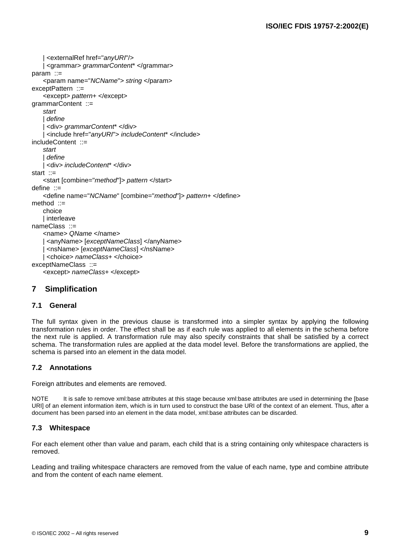```
 | <externalRef href="anyURI"/>
    | <grammar> grammarContent* </grammar>
param ::=
    <param name="NCName"> string </param>
exceptPattern ::= 
    <except> pattern+ </except>
grammarContent ::= 
    start
     | define
     | <div> grammarContent* </div>
     | <include href="anyURI"> includeContent* </include>
includeContent ::= 
    start
    | define
    | <div> includeContent* </div>
start \therefore <start [combine="method"]> pattern </start>
define ::= 
    <define name="NCName" [combine="method"]> pattern+ </define>
method ::= 
    choice
    | interleave
nameClass ::= 
    <name> QName </name>
    | <anyName> [exceptNameClass] </anyName>
     | <nsName> [exceptNameClass] </nsName>
    | <choice> nameClass+ </choice>
exceptNameClass ::= 
    <except> nameClass+ </except>
```
## **7 Simplification**

## **7.1 General**

The full syntax given in the previous clause is transformed into a simpler syntax by applying the following transformation rules in order. The effect shall be as if each rule was applied to all elements in the schema before the next rule is applied. A transformation rule may also specify constraints that shall be satisfied by a correct schema. The transformation rules are applied at the data model level. Before the transformations are applied, the schema is parsed into an element in the data model.

## **7.2 Annotations**

Foreign attributes and elements are removed.

NOTE It is safe to remove xml:base attributes at this stage because xml:base attributes are used in determining the [base URI] of an element information item, which is in turn used to construct the base URI of the context of an element. Thus, after a document has been parsed into an element in the data model, xml:base attributes can be discarded.

## **7.3 Whitespace**

For each element other than value and param, each child that is a string containing only whitespace characters is removed.

Leading and trailing whitespace characters are removed from the value of each name, type and combine attribute and from the content of each name element.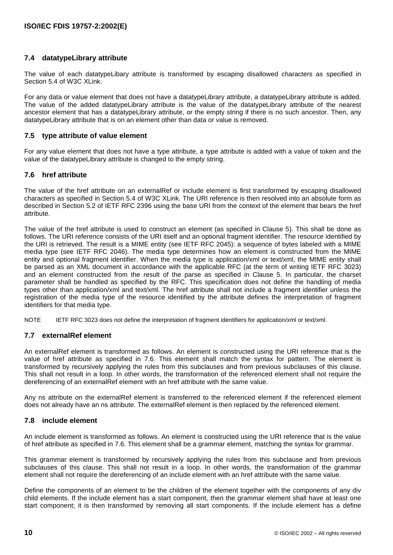## <span id="page-15-0"></span>**7.4 datatypeLibrary attribute**

The value of each datatypeLibary attribute is transformed by escaping disallowed characters as specified in Section 5.4 of W3C [XLink](#page-6-0).

For any data or value element that does not have a datatypeLibrary attribute, a datatypeLibrary attribute is added. The value of the added datatypeLibrary attribute is the value of the datatypeLibrary attribute of the nearest ancestor element that has a datatypeLibrary attribute, or the empty string if there is no such ancestor. Then, any datatypeLibrary attribute that is on an element other than data or value is removed.

## **7.5 type attribute of value element**

For any value element that does not have a type attribute, a type attribute is added with a value of token and the value of the datatypeLibrary attribute is changed to the empty string.

## **7.6 href attribute**

The value of the href attribute on an externalRef or include element is first transformed by escaping disallowed characters as specified in Section 5.4 of W3C [XLink.](#page-6-0) The URI reference is then resolved into an absolute form as described in Section 5.2 of IETF RFC [2396](#page-6-0) using the base URI from the context of the element that bears the href attribute.

The value of the href attribute is used to construct an element (as specified in [Clause](#page-12-0) 5). This shall be done as follows. The URI reference consists of the URI itself and an optional fragment identifier. The resource identified by the URI is retrieved. The result is a MIME entity (see IETF RFC [2045](#page-6-0)): a sequence of bytes labeled with a MIME media type (see IETF RFC [2046](#page-6-0)). The media type determines how an element is constructed from the MIME entity and optional fragment identifier. When the media type is application/xml or text/xml, the MIME entity shall be parsed as an XML document in accordance with the applicable RFC (at the term of writing IETF RFC [3023\)](#page-6-0) and an element constructed from the result of the parse as specified in [Clause](#page-12-0) 5. In particular, the charset parameter shall be handled as specified by the RFC. This specification does not define the handling of media types other than application/xml and text/xml. The href attribute shall not include a fragment identifier unless the registration of the media type of the resource identified by the attribute defines the interpretation of fragment identifiers for that media type.

NOTE IETF RFC [3023](#page-6-0) does not define the interpretation of fragment identifiers for application/xml or text/xml.

## **7.7 externalRef element**

An externalRef element is transformed as follows. An element is constructed using the URI reference that is the value of href attribute as specified in 7.6. This element shall match the syntax for pattern. The element is transformed by recursively applying the rules from this subclauses and from previous subclauses of this clause. This shall not result in a loop. In other words, the transformation of the referenced element shall not require the dereferencing of an externalRef element with an href attribute with the same value.

Any ns attribute on the externalRef element is transferred to the referenced element if the referenced element does not already have an ns attribute. The externalRef element is then replaced by the referenced element.

## **7.8 include element**

An include element is transformed as follows. An element is constructed using the URI reference that is the value of href attribute as specified in 7.6. This element shall be a grammar element, matching the syntax for grammar.

This grammar element is transformed by recursively applying the rules from this subclause and from previous subclauses of this clause. This shall not result in a loop. In other words, the transformation of the grammar element shall not require the dereferencing of an include element with an href attribute with the same value.

Define the components of an element to be the children of the element together with the components of any div child elements. If the include element has a start component, then the grammar element shall have at least one start component; it is then transformed by removing all start components. If the include element has a define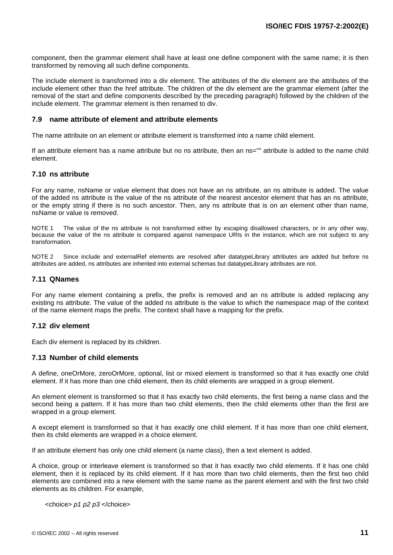<span id="page-16-0"></span>component, then the grammar element shall have at least one define component with the same name; it is then transformed by removing all such define components.

The include element is transformed into a div element. The attributes of the div element are the attributes of the include element other than the href attribute. The children of the div element are the grammar element (after the removal of the start and define components described by the preceding paragraph) followed by the children of the include element. The grammar element is then renamed to div.

#### **7.9 name attribute of element and attribute elements**

The name attribute on an element or attribute element is transformed into a name child element.

If an attribute element has a name attribute but no ns attribute, then an ns="" attribute is added to the name child element.

#### **7.10 ns attribute**

For any name, nsName or value element that does not have an ns attribute, an ns attribute is added. The value of the added ns attribute is the value of the ns attribute of the nearest ancestor element that has an ns attribute, or the empty string if there is no such ancestor. Then, any ns attribute that is on an element other than name, nsName or value is removed.

NOTE 1 The value of the ns attribute is not transformed either by escaping disallowed characters, or in any other way, because the value of the ns attribute is compared against namespace URIs in the instance, which are not subject to any transformation.

NOTE 2 Since include and externalRef elements are resolved after datatypeLibrary attributes are added but before ns attributes are added, ns attributes are inherited into external schemas but datatypeLibrary attributes are not.

#### **7.11 QNames**

For any name element containing a prefix, the prefix is removed and an ns attribute is added replacing any existing ns attribute. The value of the added ns attribute is the value to which the namespace map of the context of the name element maps the prefix. The context shall have a mapping for the prefix.

## **7.12 div element**

Each div element is replaced by its children.

#### **7.13 Number of child elements**

A define, oneOrMore, zeroOrMore, optional, list or mixed element is transformed so that it has exactly one child element. If it has more than one child element, then its child elements are wrapped in a group element.

An element element is transformed so that it has exactly two child elements, the first being a name class and the second being a pattern. If it has more than two child elements, then the child elements other than the first are wrapped in a group element.

A except element is transformed so that it has exactly one child element. If it has more than one child element, then its child elements are wrapped in a choice element.

If an attribute element has only one child element (a name class), then a text element is added.

A choice, group or interleave element is transformed so that it has exactly two child elements. If it has one child element, then it is replaced by its child element. If it has more than two child elements, then the first two child elements are combined into a new element with the same name as the parent element and with the first two child elements as its children. For example,

<choice> *p1 p2 p3* </choice>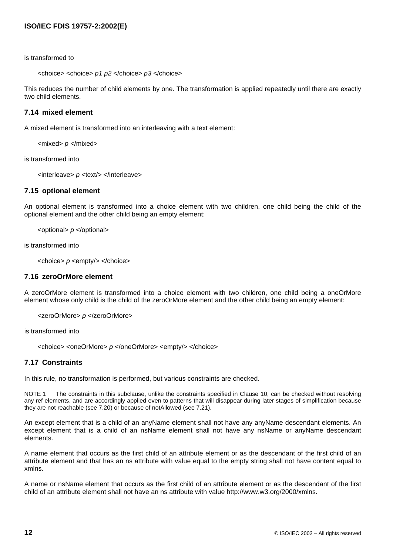<span id="page-17-0"></span>is transformed to

```
<choice> <choice> p1 p2 </choice> p3 </choice>
```
This reduces the number of child elements by one. The transformation is applied repeatedly until there are exactly two child elements.

## **7.14 mixed element**

A mixed element is transformed into an interleaving with a text element:

<mixed> *p* </mixed>

is transformed into

<interleave> *p* <text/> </interleave>

#### **7.15 optional element**

An optional element is transformed into a choice element with two children, one child being the child of the optional element and the other child being an empty element:

<optional> *p* </optional>

is transformed into

<choice> *p* <empty/> </choice>

#### **7.16 zeroOrMore element**

A zeroOrMore element is transformed into a choice element with two children, one child being a oneOrMore element whose only child is the child of the zeroOrMore element and the other child being an empty element:

<zeroOrMore> *p* </zeroOrMore>

is transformed into

<choice> <oneOrMore> *p* </oneOrMore> <empty/> </choice>

#### **7.17 Constraints**

In this rule, no transformation is performed, but various constraints are checked.

NOTE 1 The constraints in this subclause, unlike the constraints specified in [Clause](#page-24-0) 10, can be checked without resolving any ref elements, and are accordingly applied even to patterns that will disappear during later stages of simplification because they are not reachable (see [7.20](#page-19-0)) or because of notAllowed (see [7.21](#page-19-0)).

An except element that is a child of an anyName element shall not have any anyName descendant elements. An except element that is a child of an nsName element shall not have any nsName or anyName descendant elements.

A name element that occurs as the first child of an attribute element or as the descendant of the first child of an attribute element and that has an ns attribute with value equal to the empty string shall not have content equal to xmlns.

A name or nsName element that occurs as the first child of an attribute element or as the descendant of the first child of an attribute element shall not have an ns attribute with value http://www.w3.org/2000/xmlns.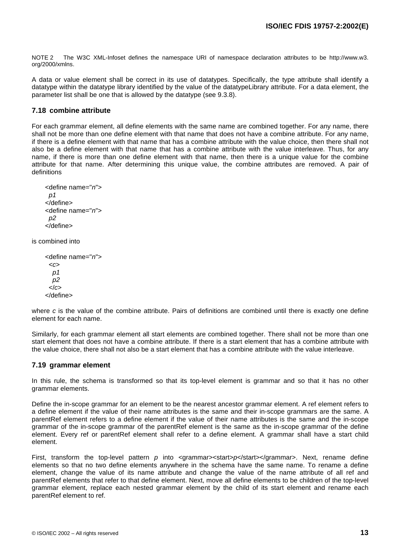<span id="page-18-0"></span>NOTE 2 The W3C [XML-Infoset](#page-6-0) defines the namespace URI of namespace declaration attributes to be http://www.w3. org/2000/xmlns.

A data or value element shall be correct in its use of datatypes. Specifically, the type attribute shall identify a datatype within the datatype library identified by the value of the datatypeLibrary attribute. For a data element, the parameter list shall be one that is allowed by the datatype (see [9.3.8](#page-23-0)).

#### **7.18 combine attribute**

For each grammar element, all define elements with the same name are combined together. For any name, there shall not be more than one define element with that name that does not have a combine attribute. For any name, if there is a define element with that name that has a combine attribute with the value choice, then there shall not also be a define element with that name that has a combine attribute with the value interleave. Thus, for any name, if there is more than one define element with that name, then there is a unique value for the combine attribute for that name. After determining this unique value, the combine attributes are removed. A pair of definitions

```
<define name="n">
  p1
</define>
<define name="n">
  p2
</define>
```
is combined into

```
<define name="n">
  <c>
   p1
   p2
  </c>
</define>
```
where *c* is the value of the combine attribute. Pairs of definitions are combined until there is exactly one define element for each name.

Similarly, for each grammar element all start elements are combined together. There shall not be more than one start element that does not have a combine attribute. If there is a start element that has a combine attribute with the value choice, there shall not also be a start element that has a combine attribute with the value interleave.

#### **7.19 grammar element**

In this rule, the schema is transformed so that its top-level element is grammar and so that it has no other grammar elements.

Define the in-scope grammar for an element to be the nearest ancestor grammar element. A ref element refers to a define element if the value of their name attributes is the same and their in-scope grammars are the same. A parentRef element refers to a define element if the value of their name attributes is the same and the in-scope grammar of the in-scope grammar of the parentRef element is the same as the in-scope grammar of the define element. Every ref or parentRef element shall refer to a define element. A grammar shall have a start child element.

First, transform the top-level pattern *p* into <grammar><start>*p*</grammar>. Next, rename define elements so that no two define elements anywhere in the schema have the same name. To rename a define element, change the value of its name attribute and change the value of the name attribute of all ref and parentRef elements that refer to that define element. Next, move all define elements to be children of the top-level grammar element, replace each nested grammar element by the child of its start element and rename each parentRef element to ref.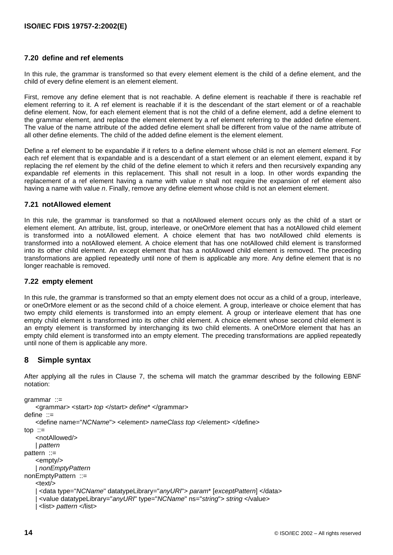## <span id="page-19-0"></span>**7.20 define and ref elements**

In this rule, the grammar is transformed so that every element element is the child of a define element, and the child of every define element is an element element.

First, remove any define element that is not reachable. A define element is reachable if there is reachable ref element referring to it. A ref element is reachable if it is the descendant of the start element or of a reachable define element. Now, for each element element that is not the child of a define element, add a define element to the grammar element, and replace the element element by a ref element referring to the added define element. The value of the name attribute of the added define element shall be different from value of the name attribute of all other define elements. The child of the added define element is the element element.

Define a ref element to be expandable if it refers to a define element whose child is not an element element. For each ref element that is expandable and is a descendant of a start element or an element element, expand it by replacing the ref element by the child of the define element to which it refers and then recursively expanding any expandable ref elements in this replacement. This shall not result in a loop. In other words expanding the replacement of a ref element having a name with value *n* shall not require the expansion of ref element also having a name with value *n*. Finally, remove any define element whose child is not an element element.

#### **7.21 notAllowed element**

In this rule, the grammar is transformed so that a notAllowed element occurs only as the child of a start or element element. An attribute, list, group, interleave, or oneOrMore element that has a notAllowed child element is transformed into a notAllowed element. A choice element that has two notAllowed child elements is transformed into a notAllowed element. A choice element that has one notAllowed child element is transformed into its other child element. An except element that has a notAllowed child element is removed. The preceding transformations are applied repeatedly until none of them is applicable any more. Any define element that is no longer reachable is removed.

## **7.22 empty element**

In this rule, the grammar is transformed so that an empty element does not occur as a child of a group, interleave, or oneOrMore element or as the second child of a choice element. A group, interleave or choice element that has two empty child elements is transformed into an empty element. A group or interleave element that has one empty child element is transformed into its other child element. A choice element whose second child element is an empty element is transformed by interchanging its two child elements. A oneOrMore element that has an empty child element is transformed into an empty element. The preceding transformations are applied repeatedly until none of them is applicable any more.

## **8 Simple syntax**

After applying all the rules in [Clause](#page-14-0) 7, the schema will match the grammar described by the following EBNF notation:

```
grammar ::= 
     <grammar> <start> top </start> define* </grammar>
define ::= 
     <define name="NCName"> <element> nameClass top </element> </define>
\text{top} := <notAllowed/>
     | pattern
pattern ::= 
     <empty/>
     | nonEmptyPattern
nonEmptyPattern ::= 
    <sub>text</sub></sub>
     | <data type="NCName" datatypeLibrary="anyURI"> param* [exceptPattern] </data>
      | <value datatypeLibrary="anyURI" type="NCName" ns="string"> string </value>
      | <list> pattern </list>
```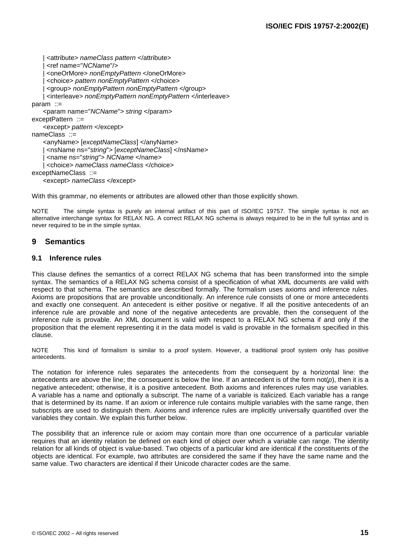```
 | <attribute> nameClass pattern </attribute>
     | <ref name="NCName"/>
     | <oneOrMore> nonEmptyPattern </oneOrMore>
     | <choice> pattern nonEmptyPattern </choice>
     | <group> nonEmptyPattern nonEmptyPattern </group>
     | <interleave> nonEmptyPattern nonEmptyPattern </interleave>
param ::= 
    <param name="NCName"> string </param>
exceptPattern ::=
    <except> pattern </except>
nameClass ::= 
    <anyName> [exceptNameClass] </anyName>
    | <nsName ns="string"> [exceptNameClass] </nsName>
     | <name ns="string"> NCName </name>
    | <choice> nameClass nameClass </choice>
exceptNameClass ::= 
    <except> nameClass </except>
```
With this grammar, no elements or attributes are allowed other than those explicitly shown.

NOTE The simple syntax is purely an internal artifact of this part of ISO/IEC 19757. The simple syntax is not an alternative interchange syntax for RELAX NG. A correct RELAX NG schema is always required to be in the full syntax and is never required to be in the simple syntax.

## **9 Semantics**

### **9.1 Inference rules**

This clause defines the semantics of a correct RELAX NG schema that has been transformed into the simple syntax. The semantics of a RELAX NG schema consist of a specification of what XML documents are valid with respect to that schema. The semantics are described formally. The formalism uses axioms and inference rules. Axioms are propositions that are provable unconditionally. An inference rule consists of one or more antecedents and exactly one consequent. An antecedent is either positive or negative. If all the positive antecedents of an inference rule are provable and none of the negative antecedents are provable, then the consequent of the inference rule is provable. An XML document is valid with respect to a RELAX NG schema if and only if the proposition that the element representing it in the data model is valid is provable in the formalism specified in this clause.

NOTE This kind of formalism is similar to a proof system. However, a traditional proof system only has positive antecedents.

The notation for inference rules separates the antecedents from the consequent by a horizontal line: the antecedents are above the line; the consequent is below the line. If an antecedent is of the form not(*p*), then it is a negative antecedent; otherwise, it is a positive antecedent. Both axioms and inferences rules may use variables. A variable has a name and optionally a subscript. The name of a variable is italicized. Each variable has a range that is determined by its name. If an axiom or inference rule contains multiple variables with the same range, then subscripts are used to distinguish them. Axioms and inference rules are implicitly universally quantified over the variables they contain. We explain this further below.

The possibility that an inference rule or axiom may contain more than one occurrence of a particular variable requires that an identity relation be defined on each kind of object over which a variable can range. The identity relation for all kinds of object is value-based. Two objects of a particular kind are identical if the constituents of the objects are identical. For example, two attributes are considered the same if they have the same name and the same value. Two characters are identical if their Unicode character codes are the same.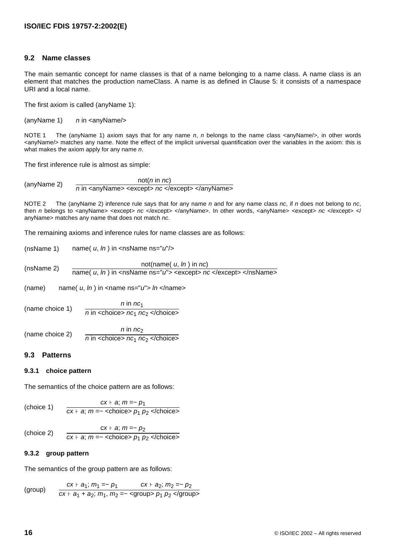## <span id="page-21-0"></span>**9.2 Name classes**

The main semantic concept for name classes is that of a name belonging to a name class. A name class is an element that matches the production nameClass. A name is as defined in [Clause](#page-12-0) 5: it consists of a namespace URI and a local name.

The first axiom is called (anyName 1):

(anyName 1) *n* in <anyName/>

NOTE 1 The (anyName 1) axiom says that for any name *n*, *n* belongs to the name class <anyName/>, in other words <anyName/> matches any name. Note the effect of the implicit universal quantification over the variables in the axiom: this is what makes the axiom apply for any name *n*.

The first inference rule is almost as simple:

(anyName 2)  $\frac{\text{not}(n \text{ in } nc)}{n \text{ in } \text{}}$  <except> *nc* </except> </anyName>

NOTE 2 The (anyName 2) inference rule says that for any name *n* and for any name class *nc*, if *n* does not belong to *nc*, then *n* belongs to <anyName> <except> *nc* </except> </anyName>. In other words, <anyName> <except> *nc* </except> </ anyName> matches any name that does not match *nc*.

The remaining axioms and inference rules for name classes are as follows:

(nsName 1) name( *u*, *ln* ) in <nsName ns="*u*"/>

(nsName 2)  $\frac{\text{not}(\text{name}( u, ln ) \text{ in } nc)}{\text{name}( u, ln ) \text{ in } \text{-nsName} \text{ ns} = "u" > \text{-except} > nc \text{-/except} > \text{-/nsName} > \text{-cscale}$ 

(name) name( *u*, *ln* ) in <name ns="*u*"> *ln* </name>

(name choice 1)  $n \in \mathbb{R}$  *n* in  $nc_1$  $n \in \mathbb{R}$  *n* in <choice>  $n \in \mathbb{C}$  *nc*<sub>2</sub> </choice> (name choice 2) *n* in *nc*<sup>2</sup>  $n$  in  $\leq$ choice>  $n c_1$   $n c_2$   $\leq$ /choice>

## **9.3 Patterns**

## **9.3.1 choice pattern**

The semantics of the choice pattern are as follows:

$$
\text{(choice 1)} \quad \text{c} x \vdash a; \, m = \sim p_1
$$
\n
$$
\text{(choice 1)} \quad \text{c} x \vdash a; \, m = \sim \text{choice} > p_1 \, p_2 < \text{/choice} \, \text{c}
$$

(choice 2) *cx* ⊦ *a*; *m* =~ *p*<sub>2</sub>  $cx \vdash a$ ;  $m = \sim$  <choice>  $p_1$   $p_2$  </choice>

## **9.3.2 group pattern**

The semantics of the group pattern are as follows:

(group)

\n
$$
\frac{cx + a_1; \, m_1 = -p_1}{cx + a_1 + a_2; \, m_1, \, m_2 = -\text{sgroup} > p_1 \, p_2 \text{ group}}
$$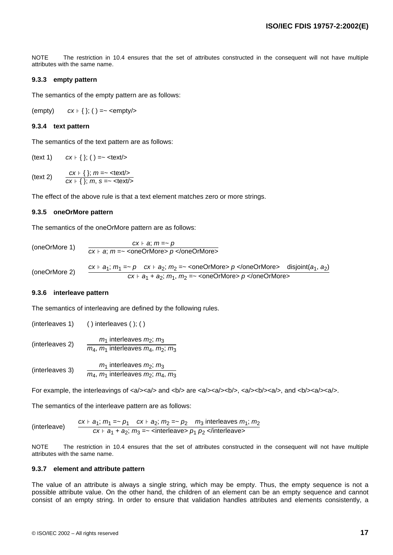<span id="page-22-0"></span>NOTE The restriction in [10.4](#page-28-0) ensures that the set of attributes constructed in the consequent will not have multiple attributes with the same name.

#### **9.3.3 empty pattern**

The semantics of the empty pattern are as follows:

(empty)  $cx + \{\};$  () =~ <empty/>

#### **9.3.4 text pattern**

The semantics of the text pattern are as follows:

(text 1)  $cx + \{\};$  () =~ <text/>

(text 2)  $\frac{cx + \{\}; m = -\text{ \textless}\t{c}x}{cx + \{\}; m, s = -\text{ \textless}\t{c}x/\text{ \textless}\t{c}x}$ 

The effect of the above rule is that a text element matches zero or more strings.

#### **9.3.5 oneOrMore pattern**

The semantics of the oneOrMore pattern are as follows:

 $(oneOrMore 1)$   $\frac{cx + a; m = ~ p}{cx + a; m = ~ \text{coneOrMore} > p \text{ of } 0$ 

(oneOrMore 2) *cx* ⊦ *a*<sub>1</sub>; *m*<sub>1</sub> =~ *p cx* ⊦ *a*<sub>2</sub>; *m*<sub>2</sub> =~ <oneOrMore> *p* </oneOrMore> disjoint(*a*<sub>1</sub>, *a*<sub>2</sub>) *cx* ⊦ *a*<sub>1</sub> + *a*<sub>2</sub>; *m*<sub>1</sub>, *m*<sub>2</sub> =~ <oneOrMore> *p* </oneOrMore>

#### **9.3.6 interleave pattern**

The semantics of interleaving are defined by the following rules.

(interleaves 1) ( ) interleaves ( ); ( ) (interleaves 2) *m*<sup>1</sup> interleaves *m*2; *m*<sup>3</sup> *m*4, *m*<sup>1</sup> interleaves *m*4, *m*2; *m*<sup>3</sup>

(interleaves 3) *m*<sup>1</sup> interleaves *m*2; *m*<sup>3</sup> *m*4, *m*<sup>1</sup> interleaves *m*2; *m*4, *m*<sup>3</sup>

For example, the interleavings of  $>< a>> a$  and  $<>> a>> a>>> a>>> a>>> a>>> a>>> a>>> a>>> a>>> a>>> a>>> a>>>> a>>>> a>>>>> a>>>>> a>>>>>> a>>>>>> a$ 

The semantics of the interleave pattern are as follows:

(interleave) 
$$
\frac{cx + a_1; m_1 = -p_1 \quad cx + a_2; m_2 = -p_2 \quad m_3 \text{ interleaves } m_1; m_2}{cx + a_1 + a_2; m_3 = -\text{ interleaves } p_1 \ p_2 \text{ interleaves}}
$$

NOTE The restriction in [10.4](#page-28-0) ensures that the set of attributes constructed in the consequent will not have multiple attributes with the same name.

#### **9.3.7 element and attribute pattern**

The value of an attribute is always a single string, which may be empty. Thus, the empty sequence is not a possible attribute value. On the other hand, the children of an element can be an empty sequence and cannot consist of an empty string. In order to ensure that validation handles attributes and elements consistently, a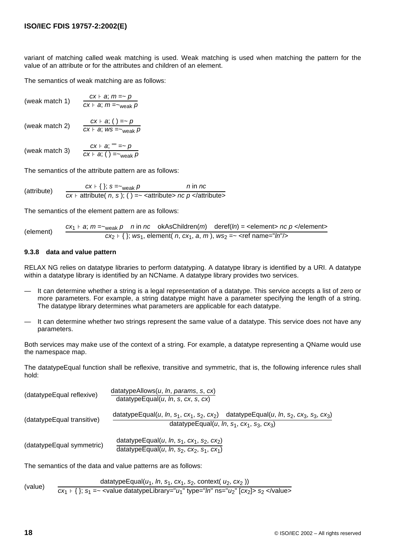<span id="page-23-0"></span>variant of matching called weak matching is used. Weak matching is used when matching the pattern for the value of an attribute or for the attributes and children of an element.

The semantics of weak matching are as follows:

(weak match 1) 
$$
\frac{cx + a; m = -p}{cx + a; m = -\text{weak}} p
$$

 $($ weak match 2 $)$   $\frac{cx + a; ( ) = -p}{cx + a; ws =_{\text{weak}} p}$ 

(weak match 3)  $\frac{cx + a; "'' = ~ p}{cx + a; ( ) = ~ w}$ 

The semantics of the attribute pattern are as follows:

$$
(attribute) \quad \begin{array}{c} cx \vdash \{\}; \ s = \text{-} \text{weak } p \quad n \text{ in } nc \\ \hline cx \vdash \text{attribute}(\ n, \ s); \ (\ ) = \text{-} \ \text{-} \text{attribute} > nc \ p < \text{/attribute} \text{-} \end{array}
$$

The semantics of the element pattern are as follows:

(element) 
$$
\frac{cx_1 + a; m = -_{\text{weak}} p \quad n \text{ in } nc \quad \text{okAsChildren}(m) \quad \text{derf}(ln) = \text{element} > nc \quad p \text{ elements}
$$

$$
cx_2 + \{\}; \text{ws}_1, \text{element} \quad n, cx_1, a, m\}, \text{ws}_2 = -\text{erf name="ln" >
$$

#### **9.3.8 data and value pattern**

RELAX NG relies on datatype libraries to perform datatyping. A datatype library is identified by a URI. A datatype within a datatype library is identified by an NCName. A datatype library provides two services.

- It can determine whether a string is a legal representation of a datatype. This service accepts a list of zero or more parameters. For example, a string datatype might have a parameter specifying the length of a string. The datatype library determines what parameters are applicable for each datatype.
- It can determine whether two strings represent the same value of a datatype. This service does not have any parameters.

Both services may make use of the context of a string. For example, a datatype representing a QName would use the namespace map.

The datatypeEqual function shall be reflexive, transitive and symmetric, that is, the following inference rules shall hold:

| (datatypeEqual reflexive)  | datatypeAllows( $u$ , In, params, s, $cx$ )<br>datatypeEqual( $u$ , $ln$ , s, $cx$ , s, $cx$ )                                                                                                                                                  |
|----------------------------|-------------------------------------------------------------------------------------------------------------------------------------------------------------------------------------------------------------------------------------------------|
| (datatypeEqual transitive) | datatypeEqual(u, ln, s <sub>1</sub> , cx <sub>1</sub> , s <sub>2</sub> , cx <sub>2</sub> ) datatypeEqual(u, ln, s <sub>2</sub> , cx <sub>3</sub> , s <sub>3</sub> , cx <sub>3</sub> )<br>datatypeEqual(u, ln, $s_1$ , $cx_1$ , $s_3$ , $cx_3$ ) |
| (datatypeEqual symmetric)  | datatypeEqual(u, ln, $s_1$ , $cx_1$ , $s_2$ , $cx_2$ )<br>datatypeEqual(u, ln, s <sub>2</sub> , cx <sub>2</sub> , s <sub>1</sub> , cx <sub>1</sub> )                                                                                            |

The semantics of the data and value patterns are as follows:

$$
(value) \quad \frac{\text{datatypeEqual}(u_1, \text{ In, } s_1, \text{ cx}_1, \text{ s}_2, \text{ context}(u_2, \text{ cx}_2))}{cx_1 + \{\}; s_1 = \text{value datatypeLibrary="u_1" type="\text{In} "ns="u_2" [cx_2] > s_2 < \text{value} \}
$$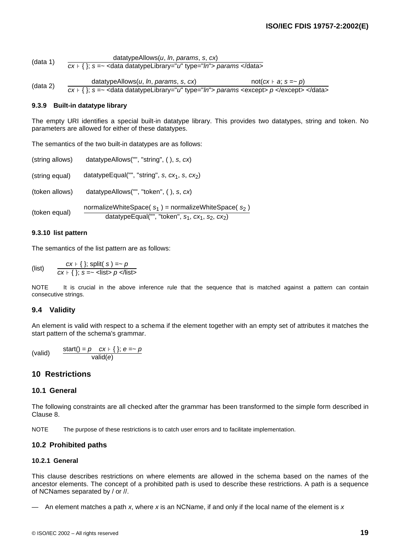<span id="page-24-0"></span>(data 1) datatypeAllows(*u*, *ln*, *params*, *s*, *cx*) *cx* ⊦ { }; *s* =~ <data datatypeLibrary="*u*" type="*ln*"> *params* </data>

(data 2) datatypeAllows(*u*, *ln*, *params*, *s*, *cx*) not(*cx* + *a*; *s* =~ *p*)<br> $\frac{cx + \{\}; s = -$  <data datatypeLibrary="*u*" type="*ln*"> *params* <except> *p* </except> </data>

#### **9.3.9 Built-in datatype library**

The empty URI identifies a special built-in datatype library. This provides two datatypes, string and token. No parameters are allowed for either of these datatypes.

The semantics of the two built-in datatypes are as follows:

| (string allows) | datatypeAllows("", "string", $($ ), s, $cx$ )                                                                               |
|-----------------|-----------------------------------------------------------------------------------------------------------------------------|
| (string equal)  | datatypeEqual("", "string", s, $cx_1$ , s, $cx_2$ )                                                                         |
| (token allows)  | datatypeAllows("", "token", $($ ), s, $cx$ )                                                                                |
| (token equal)   | normalizeWhiteSpace( $s_1$ ) = normalizeWhiteSpace( $s_2$ )<br>datatypeEqual("", "token", $s_1$ , $cx_1$ , $s_2$ , $cx_2$ ) |

#### **9.3.10 list pattern**

The semantics of the list pattern are as follows:

(list)  $\frac{cx + \{\}; \text{ split}( s) = ~ p}{cx + \{\}; \; s = ~ < \text{ lists } p \text{ <} \text{ lists}}$ 

NOTE It is crucial in the above inference rule that the sequence that is matched against a pattern can contain consecutive strings.

#### **9.4 Validity**

An element is valid with respect to a schema if the element together with an empty set of attributes it matches the start pattern of the schema's grammar.

(valid)  $\frac{\text{start}() = p \quad cx \cdot \{\}; e = \sim p}{\text{valid}(e)}$ 

## **10 Restrictions**

#### **10.1 General**

The following constraints are all checked after the grammar has been transformed to the simple form described in [Clause](#page-19-0) 8.

NOTE The purpose of these restrictions is to catch user errors and to facilitate implementation.

## **10.2 Prohibited paths**

#### **10.2.1 General**

This clause describes restrictions on where elements are allowed in the schema based on the names of the ancestor elements. The concept of a prohibited path is used to describe these restrictions. A path is a sequence of NCNames separated by / or //.

— An element matches a path *x*, where *x* is an NCName, if and only if the local name of the element is *x*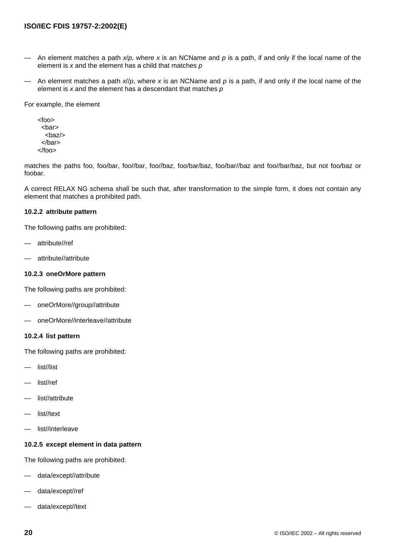- <span id="page-25-0"></span>An element matches a path  $x/p$ , where x is an NCName and p is a path, if and only if the local name of the element is *x* and the element has a child that matches *p*
- An element matches a path *x*//*p*, where *x* is an NCName and *p* is a path, if and only if the local name of the element is *x* and the element has a descendant that matches *p*

For example, the element

<foo> <bar> <baz/> </bar> </foo>

matches the paths foo, foo/bar, foo//bar, foo//baz, foo/bar/baz, foo/bar//baz and foo//bar/baz, but not foo/baz or foobar.

A correct RELAX NG schema shall be such that, after transformation to the simple form, it does not contain any element that matches a prohibited path.

#### **10.2.2 attribute pattern**

The following paths are prohibited:

- attribute//ref
- attribute//attribute

#### **10.2.3 oneOrMore pattern**

The following paths are prohibited:

- oneOrMore//group//attribute
- oneOrMore//interleave//attribute

#### **10.2.4 list pattern**

The following paths are prohibited:

- list//list
- list//ref
- list//attribute
- list//text
- list//interleave

## **10.2.5 except element in data pattern**

The following paths are prohibited:

- data/except//attribute
- data/except//ref
- data/except//text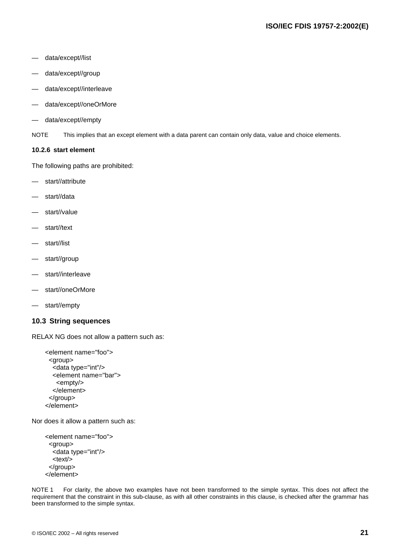- <span id="page-26-0"></span>— data/except//list
- data/except//group
- data/except//interleave
- data/except//oneOrMore
- data/except//empty

NOTE This implies that an except element with a data parent can contain only data, value and choice elements.

#### **10.2.6 start element**

The following paths are prohibited:

- start//attribute
- start//data
- start//value
- start//text
- start//list
- start//group
- start//interleave
- start//oneOrMore
- start//empty

#### **10.3 String sequences**

RELAX NG does not allow a pattern such as:

```
<element name="foo">
  <group>
   <data type="int"/>
   <element name="bar">
    <empty/>
   </element>
  </group>
</element>
```
Nor does it allow a pattern such as:

```
<element name="foo">
  <group>
   <data type="int"/>
   <text/>
  </group>
</element>
```
NOTE 1 For clarity, the above two examples have not been transformed to the simple syntax. This does not affect the requirement that the constraint in this sub-clause, as with all other constraints in this clause, is checked after the grammar has been transformed to the simple syntax.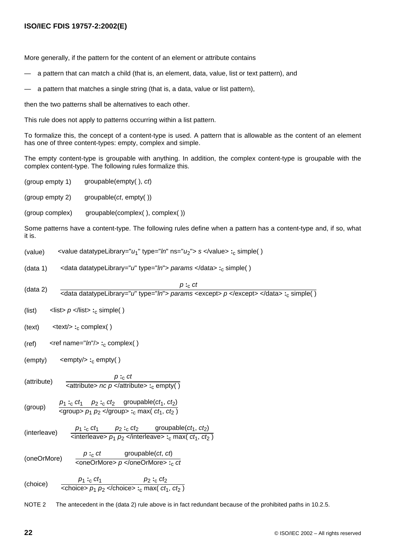## **ISO/IEC FDIS 19757-2:2002(E)**

More generally, if the pattern for the content of an element or attribute contains

- a pattern that can match a child (that is, an element, data, value, list or text pattern), and
- a pattern that matches a single string (that is, a data, value or list pattern),

then the two patterns shall be alternatives to each other.

This rule does not apply to patterns occurring within a list pattern.

To formalize this, the concept of a content-type is used. A pattern that is allowable as the content of an element has one of three content-types: empty, complex and simple.

The empty content-type is groupable with anything. In addition, the complex content-type is groupable with the complex content-type. The following rules formalize this.

(group empty 1) groupable(empty( ), *ct*)

(group empty 2) groupable(*ct*, empty( ))

(group complex) groupable(complex( ), complex( ))

Some patterns have a content-type. The following rules define when a pattern has a content-type and, if so, what it is.

(value) <value datatypeLibrary="*u*1" type="*ln*" ns="*u*2"> *s* </value> **:**<sup>c</sup> simple( )

(data 1) <data datatypeLibrary="*u*" type="*ln*"> *params* </data> **:**<sup>c</sup> simple( )

(data 2) *p* **:**<sup>c</sup> *ct* <data datatypeLibrary="*u*" type="*ln*"> *params* <except> *p* </except> </data> **:**<sup>c</sup> simple( )

(list)  $\langle$  list >  $p \langle$   $\rangle$   $\langle$   $\rangle$   $\langle$   $\rangle$   $\langle$   $\rangle$   $\langle$   $\rangle$   $\langle$   $\rangle$   $\langle$   $\rangle$   $\langle$   $\rangle$   $\langle$   $\rangle$   $\langle$   $\rangle$   $\langle$   $\rangle$   $\langle$   $\rangle$   $\langle$   $\rangle$   $\langle$   $\rangle$   $\langle$   $\rangle$   $\langle$   $\rangle$   $\langle$   $\rangle$   $\langle$   $\rangle$   $\langle$   $\rangle$   $\langle$   $\rangle$ 

(text) <text/> **:**<sup>c</sup> complex( )

(ref) <ref name="*ln*"/> :<sub>c</sub> complex()

$$
(empty) \qquad \text{ :}_{c} \text{ empty}()
$$

$$
(attribute) \qquad \frac{p :_{c} ct}{\leq attribute > nc \ p \leq /attribute > :_{c} empty()
$$

$$
(group) \qquad \frac{p_1 :_{c} ct_1 \quad p_2 :_{c} ct_2 \quad groupable(ct_1, ct_2)}{ p_1 p_2 < group> s :_{c} max(ct_1, ct_2)}
$$

(interleave) 
$$
\frac{p_1 :_{c} ct_1 p_2 :_{c} ct_2 \text{ groupable}(ct_1, ct_2)}{\\ \leftarrow \text{interfaceive} > p_1 p_2 \leftarrow \text{interfaceive} > \leftarrow \text{max}(ct_1, ct_2)
$$

(oneOrMore) *p* **:**<sup>c</sup> *ct* groupable(*ct*, *ct*) <oneOrMore> *p* </oneOrMore> **:**<sup>c</sup> *ct*

$$
\text{(choice)} \quad \frac{p_1 :_{\text{c}} ct_1}{\text{choice} > p_1 p_2 \frac{p_2 :_{\text{c}} ct_2}{\text{choice} > p_1 p_2 \frac{p_2 :_{\text{c}} ct_2}
$$

NOTE 2 The antecedent in the (data 2) rule above is in fact redundant because of the prohibited paths in [10.2.5](#page-25-0).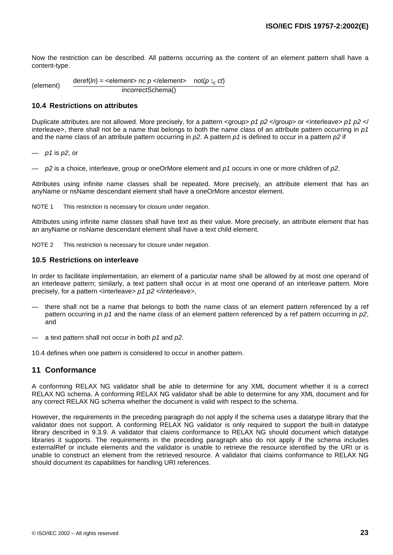<span id="page-28-0"></span>Now the restriction can be described. All patterns occurring as the content of an element pattern shall have a content-type.

(element) deref(*ln*) <sup>=</sup> <element> *nc <sup>p</sup>* </element> not(*<sup>p</sup>* **:**<sup>c</sup> *ct*) incorrectSchema()

### **10.4 Restrictions on attributes**

Duplicate attributes are not allowed. More precisely, for a pattern <group> *p1 p2* </group> or <interleave> *p1 p2* </ interleave>, there shall not be a name that belongs to both the name class of an attribute pattern occurring in *p1* and the name class of an attribute pattern occurring in *p2*. A pattern *p1* is defined to occur in a pattern *p2* if

— *p1* is *p2*, or

— *p2* is a choice, interleave, group or oneOrMore element and *p1* occurs in one or more children of *p2*.

Attributes using infinite name classes shall be repeated. More precisely, an attribute element that has an anyName or nsName descendant element shall have a oneOrMore ancestor element.

NOTE 1 This restriction is necessary for closure under negation.

Attributes using infinite name classes shall have text as their value. More precisely, an attribute element that has an anyName or nsName descendant element shall have a text child element.

NOTE 2 This restriction is necessary for closure under negation.

#### **10.5 Restrictions on interleave**

In order to facilitate implementation, an element of a particular name shall be allowed by at most one operand of an interleave pattern; similarly, a text pattern shall occur in at most one operand of an interleave pattern. More precisely, for a pattern <interleave> *p1 p2* </interleave>,

- there shall not be a name that belongs to both the name class of an element pattern referenced by a ref pattern occurring in *p1* and the name class of an element pattern referenced by a ref pattern occurring in *p2*, and
- a text pattern shall not occur in both *p1* and *p2*.

10.4 defines when one pattern is considered to occur in another pattern.

## **11 Conformance**

A conforming RELAX NG validator shall be able to determine for any XML document whether it is a correct RELAX NG schema. A conforming RELAX NG validator shall be able to determine for any XML document and for any correct RELAX NG schema whether the document is valid with respect to the schema.

However, the requirements in the preceding paragraph do not apply if the schema uses a datatype library that the validator does not support. A conforming RELAX NG validator is only required to support the built-in datatype library described in [9.3.9.](#page-24-0) A validator that claims conformance to RELAX NG should document which datatype libraries it supports. The requirements in the preceding paragraph also do not apply if the schema includes externalRef or include elements and the validator is unable to retrieve the resource identified by the URI or is unable to construct an element from the retrieved resource. A validator that claims conformance to RELAX NG should document its capabilities for handling URI references.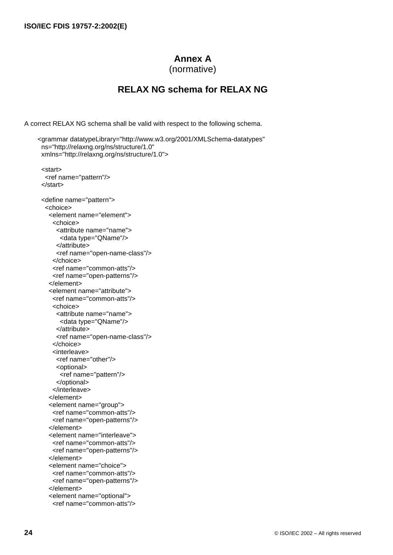# **Annex A**

(normative)

# **RELAX NG schema for RELAX NG**

<span id="page-29-0"></span>A correct RELAX NG schema shall be valid with respect to the following schema.

```
<grammar datatypeLibrary="http://www.w3.org/2001/XMLSchema-datatypes"
 ns="http://relaxng.org/ns/structure/1.0"
 xmlns="http://relaxng.org/ns/structure/1.0">
  <start>
   <ref name="pattern"/>
  </start>
  <define name="pattern">
   <choice>
    <element name="element">
     <choice>
      <attribute name="name">
        <data type="QName"/>
       </attribute>
      <ref name="open-name-class"/>
     </choice>
     <ref name="common-atts"/>
     <ref name="open-patterns"/>
    </element>
    <element name="attribute">
     <ref name="common-atts"/>
     <choice>
       <attribute name="name">
        <data type="QName"/>
       </attribute>
      <ref name="open-name-class"/>
     </choice>
     <interleave>
       <ref name="other"/>
       <optional>
        <ref name="pattern"/>
       </optional>
     </interleave>
    </element>
    <element name="group">
     <ref name="common-atts"/>
     <ref name="open-patterns"/>
    </element>
    <element name="interleave">
     <ref name="common-atts"/>
     <ref name="open-patterns"/>
    </element>
    <element name="choice">
     <ref name="common-atts"/>
     <ref name="open-patterns"/>
    </element>
    <element name="optional">
     <ref name="common-atts"/>
```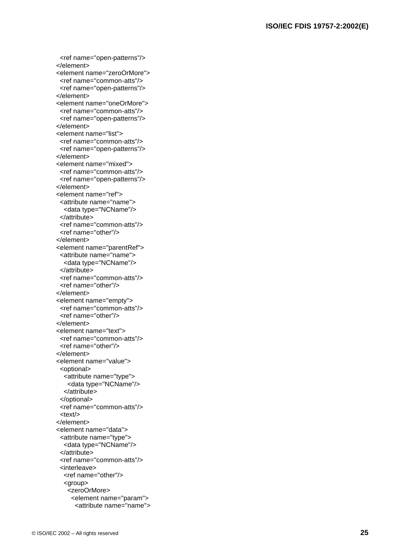```
 <ref name="open-patterns"/>
 </element>
 <element name="zeroOrMore">
  <ref name="common-atts"/>
  <ref name="open-patterns"/>
 </element>
 <element name="oneOrMore">
  <ref name="common-atts"/>
  <ref name="open-patterns"/>
 </element>
 <element name="list">
  <ref name="common-atts"/>
 open-patterns"/>
 </element>
 <element name="mixed">
common-atts"/>
 <ref name="open-patterns"/>
 </element>
 <element name="ref">
  <attribute name="name">
   <data type="NCName"/>
 </attribute>
 <ref name="common-atts"/>
 <ref name="other"/>
 </element>
 <element name="parentRef">
 <attribute name="name">
   <data type="NCName"/>
  </attribute>
  <ref name="common-atts"/>
  <ref name="other"/>
 </element>
 <element name="empty">
 <ref name="common-atts"/>
 <ref name="other"/>
 </element>
 <element name="text">
  <ref name="common-atts"/>
 <ref name="other"/>
 </element>
 <element name="value">
  <optional>
   <attribute name="type">
    <data type="NCName"/>
   </attribute>
  </optional>
  <ref name="common-atts"/>
 <text/>
 </element>
 <element name="data">
 <attribute name="type">
   <data type="NCName"/>
  </attribute>
  <ref name="common-atts"/>
  <interleave>
   <ref name="other"/>
   <group>
    <zeroOrMore>
     <element name="param">
      <attribute name="name">
```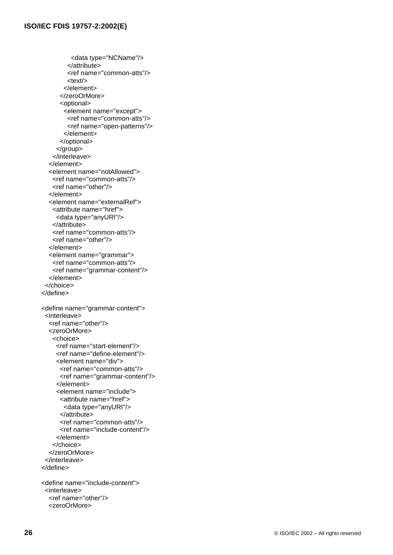<span id="page-31-0"></span> <data type="NCName"/> </attribute> <ref name=["common-atts"](#page-33-0)/>  $<$ text/ $>$  </element> </zeroOrMore> <optional> <element name="except"> <ref name=["common-atts"](#page-33-0)/> <ref name=["open-patterns](#page-32-0)"/> </element> </optional> </group> </interleave> </element> <element name="notAllowed"> <ref name="[common-atts](#page-33-0)"/> <ref name="[other"](#page-34-0)/> </element> <element name="externalRef"> <attribute name="href"> <data type="anyURI"/> </attribute> <ref name="[common-atts](#page-33-0)"/> <ref name="[other"](#page-34-0)/> </element> <element name="grammar"> <ref name="[common-atts](#page-33-0)"/> <ref name="grammar-content"/> </element> </choice> </define> <define name="grammar-content"> <interleave> <ref name="[other"](#page-34-0)/> <zeroOrMore> <choice> <ref name=["start-element](#page-32-0)"/> <ref name=["define-element](#page-32-0)"/> <element name="div"> <ref name="[common-atts](#page-33-0)"/> <ref name="grammar-content"/> </element> <element name="include"> <attribute name="href"> <data type="anyURI"/> </attribute> <ref name="[common-atts](#page-33-0)"/> <ref name="include-content"/> </element> </choice> </zeroOrMore> </interleave> </define> <define name="include-content"> <interleave> <ref name="[other"](#page-34-0)/>

```
 <zeroOrMore>
```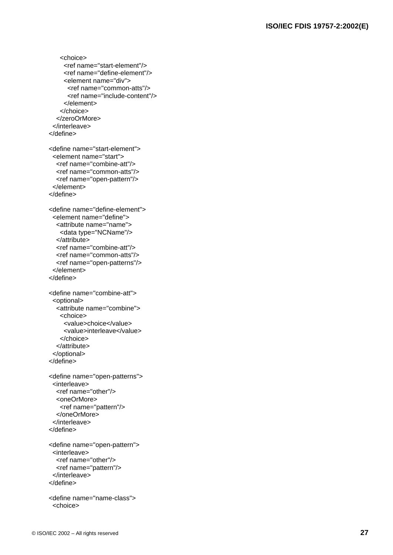```
 <choice>
     <ref name="start-element"/>
     <ref name="define-element"/>
     <element name="div">
       <ref name="common-atts"/>
       <ref name="include-content"/>
     </element>
    </choice>
   </zeroOrMore>
  </interleave>
 </define>
 <define name="start-element">
  <element name="start">
   <ref name="combine-att"/>
   <ref name="common-atts"/>
   <ref name="open-pattern"/>
  </element>
 </define>
 <define name="define-element">
  <element name="define">
   <attribute name="name">
    <data type="NCName"/>
   </attribute>
   <ref name="combine-att"/>
  "common-atts"/>
   <ref name="open-patterns"/>
  </element>
 </define>
 <define name="combine-att">
  <optional>
   <attribute name="combine">
    <choice>
     <value>choice</value>
     <value>interleave</value>
    </choice>
   </attribute>
  </optional>
 </define>
 <define name="open-patterns">
  <interleave>
   <ref name="other"/>
   <oneOrMore>
    <ref name="pattern"/>
   </oneOrMore>
  </interleave>
 </define>
 <define name="open-pattern">
  <interleave>
   <ref name="other"/>
   <ref name="pattern"/>
  </interleave>
 </define>
 <define name="name-class">
  <choice>
```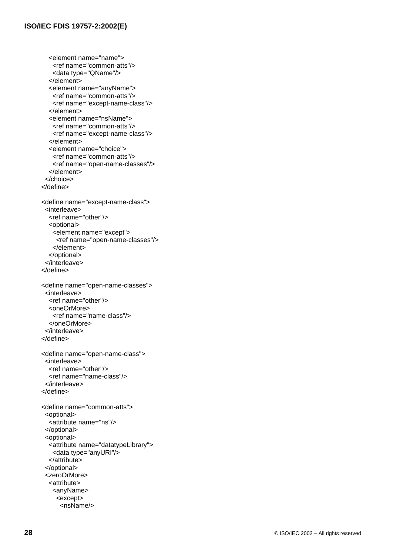```
 <element name="name">
    <ref name="common-atts"/>
    <data type="QName"/>
   </element>
   <element name="anyName">
   <ref name="common-atts"/>
    <ref name="except-name-class"/>
   </element>
   <element name="nsName">
    <ref name="common-atts"/>
    <ref name="except-name-class"/>
   </element>
   <element name="choice">
    <ref name="common-atts"/>
    <ref name="open-name-classes"/>
   </element>
  </choice>
 </define>
<define name="except-name-class">
  <interleave>
   <ref name="other"/>
   <optional>
    <element name="except">
     <ref name="open-name-classes"/>
    </element>
   </optional>
  </interleave>
 </define>
<define name="open-name-classes">
  <interleave>
  other"/>
   <oneOrMore>
    <ref name="name-class"/>
   </oneOrMore>
  </interleave>
 </define>
<define name="open-name-class">
  <interleave>
   <ref name="other"/>
   <ref name="name-class"/>
  </interleave>
 </define>
<define name="common-atts">
  <optional>
   <attribute name="ns"/>
  </optional>
  <optional>
   <attribute name="datatypeLibrary">
    <data type="anyURI"/>
   </attribute>
  </optional>
  <zeroOrMore>
   <attribute>
    <anyName>
     <except>
      <nsName/>
```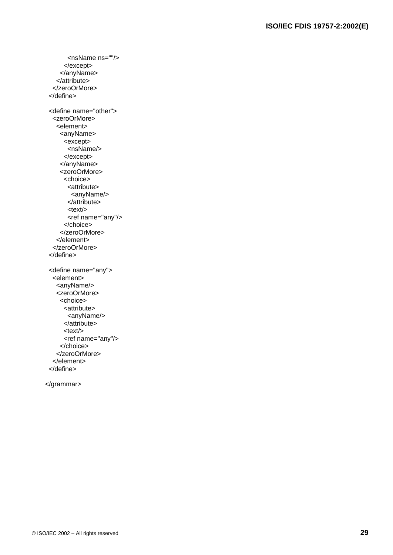<span id="page-34-0"></span> <nsName ns=""/> </except> </anyName> </attribute> </zeroOrMore> </define> <define name="other"> <zeroOrMore> <element> <anyName> <except> <nsName/> </except> </anyName> <zeroOrMore> <choice> <attribute> <anyName/> </attribute>  $<$ text $/$ <ref name="any"/> </choice> </zeroOrMore> </element> </zeroOrMore> </define> <define name="any"> <element> <anyName/> <zeroOrMore> <choice> <attribute> <anyName/> </attribute> <text/> <ref name="any"/> </choice> </zeroOrMore> </element> </define>

</grammar>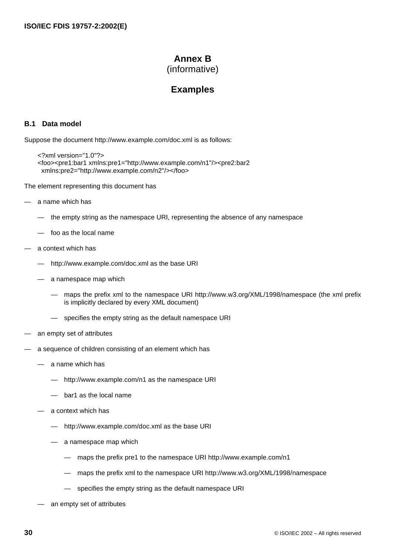# **Annex B**

(informative)

# **Examples**

## <span id="page-35-0"></span>**B.1 Data model**

Suppose the document http://www.example.com/doc.xml is as follows:

```
<?xml version="1.0"?>
<foo><pre1:bar1 xmlns:pre1="http://www.example.com/n1"/><pre2:bar2
 xmlns:pre2="http://www.example.com/n2"/></foo>
```
The element representing this document has

- a name which has
	- the empty string as the namespace URI, representing the absence of any namespace
	- foo as the local name
- a context which has
	- http://www.example.com/doc.xml as the base URI
	- a namespace map which
		- maps the prefix xml to the namespace URI http://www.w3.org/XML/1998/namespace (the xml prefix is implicitly declared by every XML document)
		- specifies the empty string as the default namespace URI
- an empty set of attributes
- a sequence of children consisting of an element which has
	- a name which has
		- http://www.example.com/n1 as the namespace URI
		- bar1 as the local name
	- a context which has
		- http://www.example.com/doc.xml as the base URI
		- a namespace map which
			- maps the prefix pre1 to the namespace URI http://www.example.com/n1
			- maps the prefix xml to the namespace URI http://www.w3.org/XML/1998/namespace
			- specifies the empty string as the default namespace URI
	- an empty set of attributes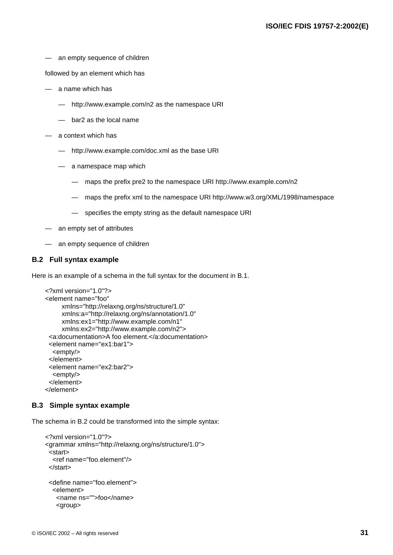<span id="page-36-0"></span>an empty sequence of children

followed by an element which has

- a name which has
	- http://www.example.com/n2 as the namespace URI
	- bar2 as the local name
- a context which has
	- http://www.example.com/doc.xml as the base URI
	- a namespace map which
		- maps the prefix pre2 to the namespace URI http://www.example.com/n2
		- maps the prefix xml to the namespace URI http://www.w3.org/XML/1998/namespace
		- specifies the empty string as the default namespace URI
- an empty set of attributes
- an empty sequence of children

## **B.2 Full syntax example**

Here is an example of a schema in the full syntax for the document in [B.1.](#page-35-0)

```
<?xml version="1.0"?>
<element name="foo"
      xmlns="http://relaxng.org/ns/structure/1.0"
      xmlns:a="http://relaxng.org/ns/annotation/1.0"
      xmlns:ex1="http://www.example.com/n1"
      xmlns:ex2="http://www.example.com/n2">
  <a:documentation>A foo element.</a:documentation>
  <element name="ex1:bar1">
   <empty/>
  </element>
  <element name="ex2:bar2">
   <empty/>
  </element>
</element>
```
## **B.3 Simple syntax example**

The schema in B.2 could be transformed into the simple syntax:

```
<?xml version="1.0"?>
<grammar xmlns="http://relaxng.org/ns/structure/1.0">
  <start>
   <ref name="foo.element"/>
  </start>
  <define name="foo.element">
   <element>
    <name ns="">foo</name>
    <group>
```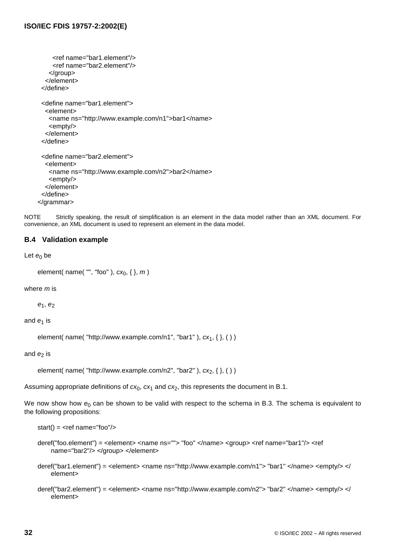```
 <ref name="bar1.element"/>
     <ref name="bar2.element"/>
    </group>
   </element>
  </define>
  <define name="bar1.element">
   <element>
    <name ns="http://www.example.com/n1">bar1</name>
    <empty/>
   </element>
  </define>
  <define name="bar2.element">
   <element>
    <name ns="http://www.example.com/n2">bar2</name>
    <empty/>
   </element>
  </define>
</grammar>
```
NOTE Strictly speaking, the result of simplification is an element in the data model rather than an XML document. For convenience, an XML document is used to represent an element in the data model.

## **B.4 Validation example**

Let  $e_0$  be

```
element( name( "", "foo" ), cx_0, { }, m )
```
where *m* is

 $e_1, e_2$ 

and  $e_1$  is

element( name( "http://www.example.com/n1", "bar1"),  $cx_1$ , { }, ( ) )

and  $e_2$  is

element( name( "http://www.example.com/n2", "bar2" ),  $cx_2$ , { }, ( ) )

Assuming appropriate definitions of  $cx_0$ ,  $cx_1$  and  $cx_2$ , this represents the document in [B.1](#page-35-0).

We now show how  $e_0$  can be shown to be valid with respect to the schema in [B.3](#page-36-0). The schema is equivalent to the following propositions:

```
start() = \text{~ref name} = "foo" / \text{~}
```

```
deref("foo.element") = <element> <name ns=""> "foo" </name> <group> <ref name="bar1"/> <ref
    name="bar2"/> </group> </element>
```
- deref("bar1.element") = <element> <name ns="http://www.example.com/n1"> "bar1" </name> <empty/> </ element>
- deref("bar2.element") = <element> <name ns="http://www.example.com/n2"> "bar2" </name> <empty/> </ element>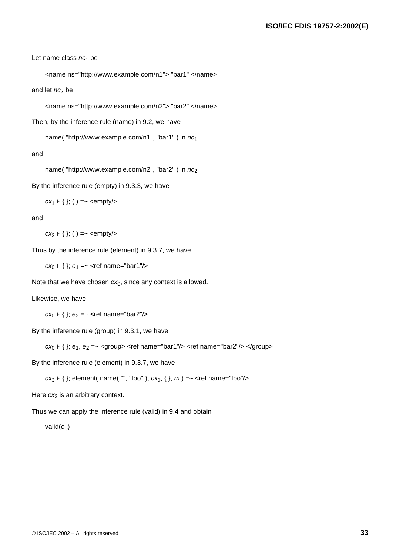Let name class *nc*<sub>1</sub> be

```
<name ns="http://www.example.com/n1"> "bar1" </name>
```
and let  $nc_2$  be

<name ns="http://www.example.com/n2"> "bar2" </name>

Then, by the inference rule (name) in [9.2](#page-21-0), we have

name( "http://www.example.com/n1", "bar1" ) in *nc*<sup>1</sup>

and

name( "http://www.example.com/n2", "bar2" ) in  $nc_2$ 

By the inference rule (empty) in [9.3.3](#page-22-0), we have

 $cx_1 + \{\};$  ( ) =~ <empty/>

and

 $cx_2 + \{\};$  ( ) =~ <empty/>

Thus by the inference rule (element) in [9.3.7](#page-22-0), we have

 $cx_0 + \{\}\; ; \; e_1 = \sim \text{~}$  ref name="bar1"/>

Note that we have chosen  $cx_0$ , since any context is allowed.

Likewise, we have

*cx*<sub>0</sub>  $\vdash$  { }; *e*<sub>2</sub> = ~ < *ref* name="bar2"/>

By the inference rule (group) in [9.3.1](#page-21-0), we have

*cx*<sub>0</sub> ⊦ { }; *e*<sub>1</sub>, *e*<sub>2</sub> =~ <group> <ref name="bar1"/> <ref name="bar2"/> </group>

By the inference rule (element) in [9.3.7,](#page-22-0) we have

*cx*<sub>3</sub>  $+$  { }; element( name( "", "foo" ),  $cx_0$ , { },  $m$  ) =~ < ref name="foo"/>

Here  $cx_3$  is an arbitrary context.

Thus we can apply the inference rule (valid) in [9.4](#page-24-0) and obtain

valid( $e_0$ )